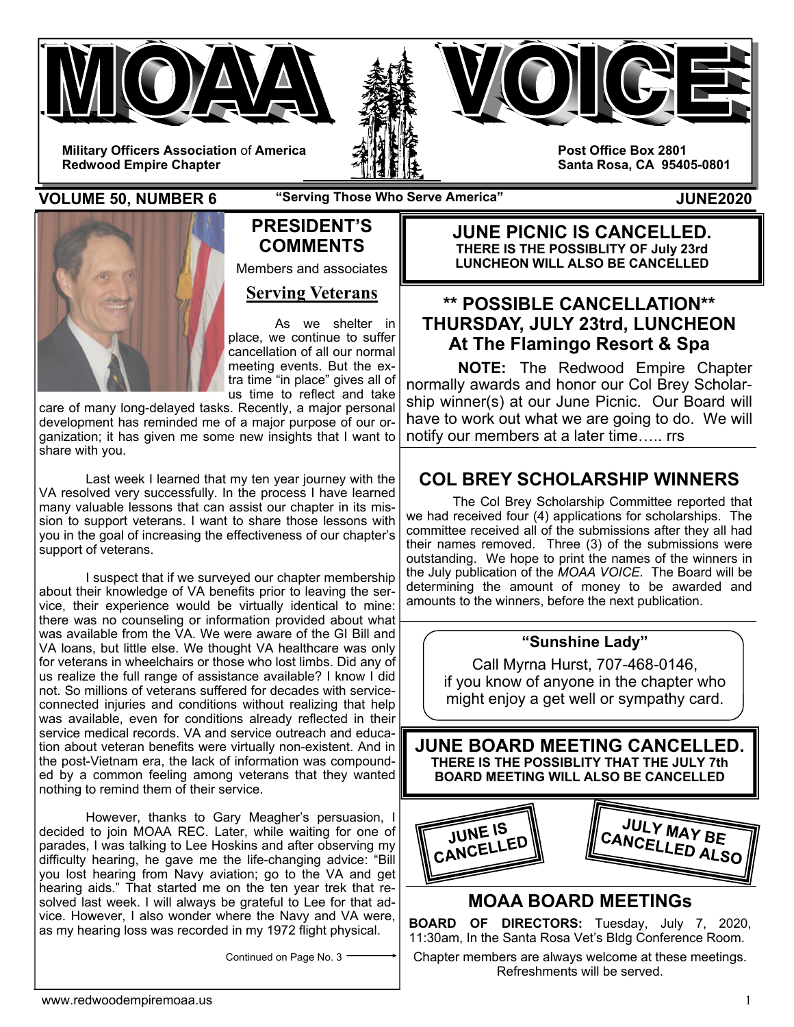





**Military Officers Association** of **America Redwood Empire Chapter** 

**Post Office Box 2801 Santa Rosa, CA 95405-0801** 

**VOLUME 50, NUMBER 6** "Serving Those Who Serve America" **JUNE2020** 



## **PRESIDENT'S COMMENTS**

Members and associates

**Serving Veterans**

 As we shelter in place, we continue to suffer cancellation of all our normal meeting events. But the extra time "in place" gives all of us time to reflect and take

care of many long-delayed tasks. Recently, a major personal development has reminded me of a major purpose of our organization; it has given me some new insights that I want to share with you.

 Last week I learned that my ten year journey with the VA resolved very successfully. In the process I have learned many valuable lessons that can assist our chapter in its mission to support veterans. I want to share those lessons with you in the goal of increasing the effectiveness of our chapter's support of veterans.

 I suspect that if we surveyed our chapter membership about their knowledge of VA benefits prior to leaving the service, their experience would be virtually identical to mine: there was no counseling or information provided about what was available from the VA. We were aware of the GI Bill and VA loans, but little else. We thought VA healthcare was only for veterans in wheelchairs or those who lost limbs. Did any of us realize the full range of assistance available? I know I did not. So millions of veterans suffered for decades with serviceconnected injuries and conditions without realizing that help was available, even for conditions already reflected in their service medical records. VA and service outreach and education about veteran benefits were virtually non-existent. And in the post-Vietnam era, the lack of information was compounded by a common feeling among veterans that they wanted nothing to remind them of their service.

 However, thanks to Gary Meagher's persuasion, I decided to join MOAA REC. Later, while waiting for one of parades, I was talking to Lee Hoskins and after observing my difficulty hearing, he gave me the life-changing advice: "Bill you lost hearing from Navy aviation; go to the VA and get hearing aids." That started me on the ten year trek that resolved last week. I will always be grateful to Lee for that advice. However, I also wonder where the Navy and VA were, as my hearing loss was recorded in my 1972 flight physical.

Continued on Page No. 3 -

**JUNE PICNIC IS CANCELLED. THERE IS THE POSSIBLITY OF July 23rd LUNCHEON WILL ALSO BE CANCELLED** 

## **\*\* POSSIBLE CANCELLATION\*\* THURSDAY, JULY 23trd, LUNCHEON At The Flamingo Resort & Spa**

 **NOTE:** The Redwood Empire Chapter normally awards and honor our Col Brey Scholarship winner(s) at our June Picnic. Our Board will have to work out what we are going to do. We will notify our members at a later time….. rrs

# **COL BREY SCHOLARSHIP WINNERS**

The Col Brey Scholarship Committee reported that we had received four (4) applications for scholarships. The committee received all of the submissions after they all had their names removed. Three (3) of the submissions were outstanding. We hope to print the names of the winners in the July publication of the *MOAA VOICE.* The Board will be determining the amount of money to be awarded and amounts to the winners, before the next publication.



Call Myrna Hurst, 707-468-0146, if you know of anyone in the chapter who might enjoy a get well or sympathy card.

**JUNE BOARD MEETING CANCELLED. THERE IS THE POSSIBLITY THAT THE JULY 7th BOARD MEETING WILL ALSO BE CANCELLED** 



## **MOAA BOARD MEETINGs**

**BOARD OF DIRECTORS:** Tuesday, July 7, 2020, 11:30am, In the Santa Rosa Vet's Bldg Conference Room.

Chapter members are always welcome at these meetings. Refreshments will be served.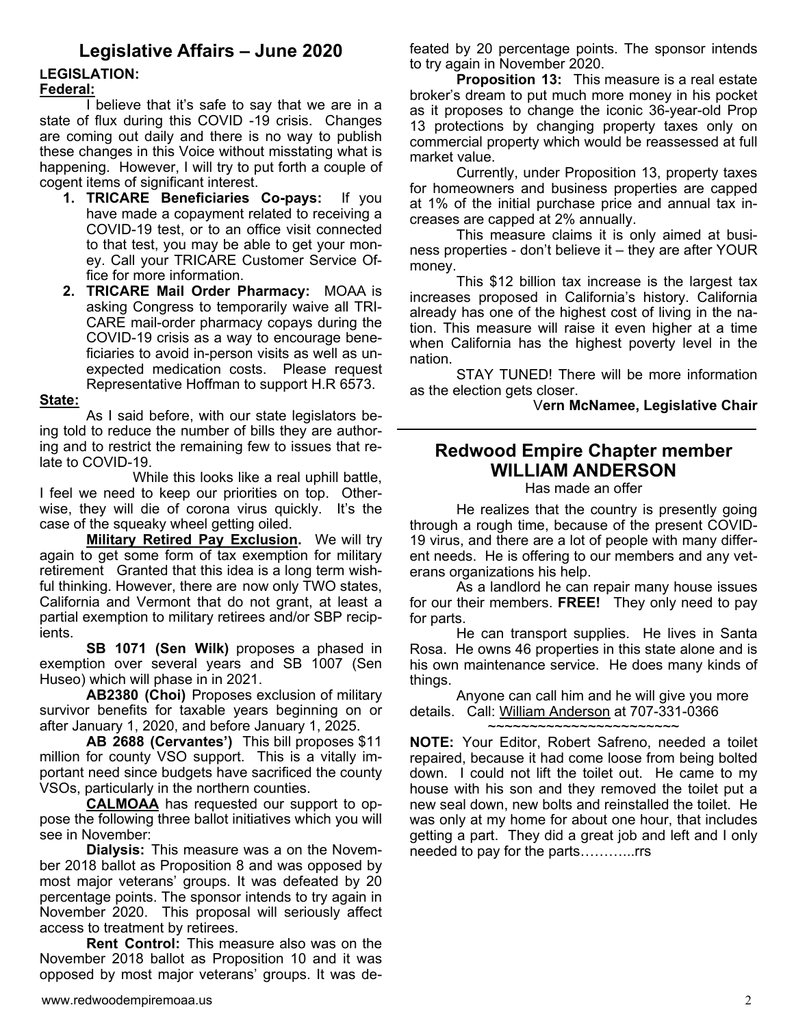# **Legislative Affairs – June 2020**

## **LEGISLATION:**

**Federal:**  I believe that it's safe to say that we are in a state of flux during this COVID -19 crisis. Changes are coming out daily and there is no way to publish these changes in this Voice without misstating what is happening. However, I will try to put forth a couple of cogent items of significant interest.

- **1. TRICARE Beneficiaries Co-pays:** If you have made a copayment related to receiving a COVID-19 test, or to an office visit connected to that test, you may be able to get your money. Call your TRICARE Customer Service Office for more information.
- **2. TRICARE Mail Order Pharmacy:** MOAA is asking Congress to temporarily waive all TRI-CARE mail-order pharmacy copays during the COVID-19 crisis as a way to encourage beneficiaries to avoid in-person visits as well as unexpected medication costs. Please request Representative Hoffman to support H.R 6573.

#### **State:**

As I said before, with our state legislators being told to reduce the number of bills they are authoring and to restrict the remaining few to issues that relate to COVID-19.

 While this looks like a real uphill battle, I feel we need to keep our priorities on top. Otherwise, they will die of corona virus quickly. It's the case of the squeaky wheel getting oiled.

**Military Retired Pay Exclusion.** We will try again to get some form of tax exemption for military retirement Granted that this idea is a long term wishful thinking. However, there are now only TWO states, California and Vermont that do not grant, at least a partial exemption to military retirees and/or SBP recipients.

**SB 1071 (Sen Wilk)** proposes a phased in exemption over several years and SB 1007 (Sen Huseo) which will phase in in 2021.

**AB2380 (Choi)** Proposes exclusion of military survivor benefits for taxable years beginning on or after January 1, 2020, and before January 1, 2025.

**AB 2688 (Cervantes')** This bill proposes \$11 million for county VSO support. This is a vitally important need since budgets have sacrificed the county VSOs, particularly in the northern counties.

**CALMOAA** has requested our support to oppose the following three ballot initiatives which you will see in November:

**Dialysis:** This measure was a on the November 2018 ballot as Proposition 8 and was opposed by most major veterans' groups. It was defeated by 20 percentage points. The sponsor intends to try again in November 2020. This proposal will seriously affect access to treatment by retirees.

**Rent Control:** This measure also was on the November 2018 ballot as Proposition 10 and it was opposed by most major veterans' groups. It was defeated by 20 percentage points. The sponsor intends to try again in November 2020.

**Proposition 13:** This measure is a real estate broker's dream to put much more money in his pocket as it proposes to change the iconic 36-year-old Prop 13 protections by changing property taxes only on commercial property which would be reassessed at full market value.

Currently, under Proposition 13, property taxes for homeowners and business properties are capped at 1% of the initial purchase price and annual tax increases are capped at 2% annually.

This measure claims it is only aimed at business properties - don't believe it – they are after YOUR money.

This \$12 billion tax increase is the largest tax increases proposed in California's history. California already has one of the highest cost of living in the nation. This measure will raise it even higher at a time when California has the highest poverty level in the nation.

STAY TUNED! There will be more information as the election gets closer.

### V**ern McNamee, Legislative Chair**

# **Redwood Empire Chapter member WILLIAM ANDERSON**

Has made an offer

 He realizes that the country is presently going through a rough time, because of the present COVID-19 virus, and there are a lot of people with many different needs. He is offering to our members and any veterans organizations his help.

 As a landlord he can repair many house issues for our their members. **FREE!** They only need to pay for parts.

 He can transport supplies. He lives in Santa Rosa. He owns 46 properties in this state alone and is his own maintenance service. He does many kinds of things.

 Anyone can call him and he will give you more details. Call: William Anderson at 707-331-0366

~~~~~~~~~~~~~~~~~~~~~~ **NOTE:** Your Editor, Robert Safreno, needed a toilet

repaired, because it had come loose from being bolted down. I could not lift the toilet out. He came to my house with his son and they removed the toilet put a new seal down, new bolts and reinstalled the toilet. He was only at my home for about one hour, that includes getting a part. They did a great job and left and I only needed to pay for the parts………...rrs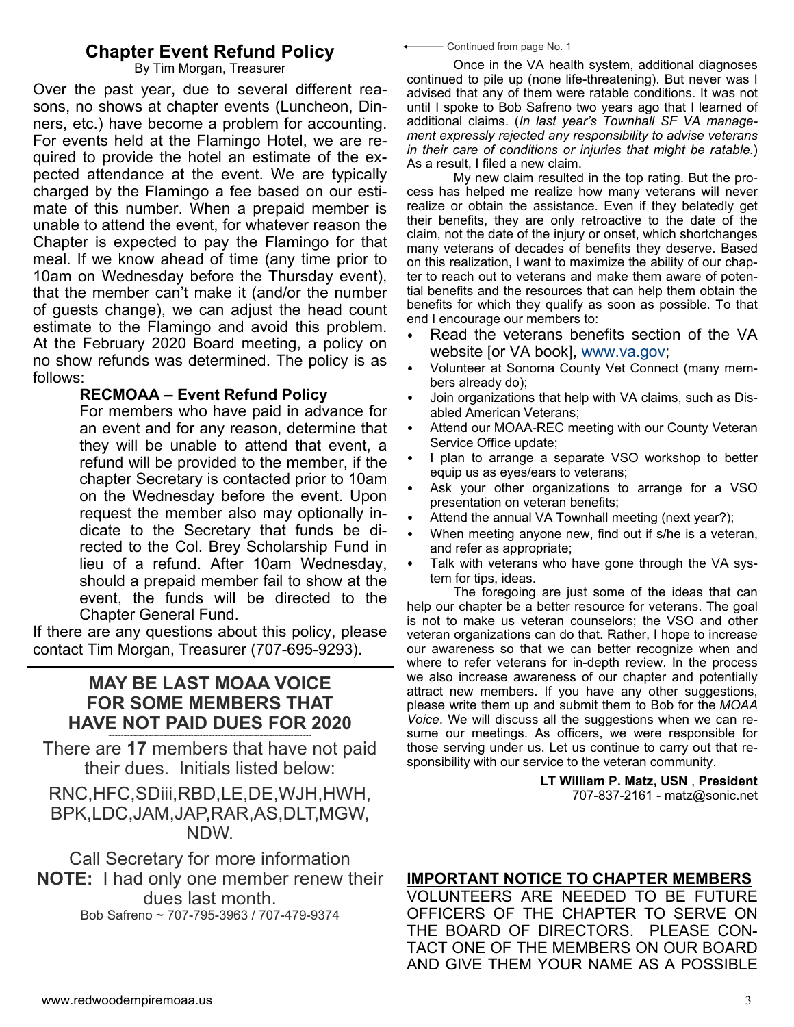## **Chapter Event Refund Policy**

By Tim Morgan, Treasurer

Over the past year, due to several different reasons, no shows at chapter events (Luncheon, Dinners, etc.) have become a problem for accounting. For events held at the Flamingo Hotel, we are required to provide the hotel an estimate of the expected attendance at the event. We are typically charged by the Flamingo a fee based on our estimate of this number. When a prepaid member is unable to attend the event, for whatever reason the Chapter is expected to pay the Flamingo for that meal. If we know ahead of time (any time prior to 10am on Wednesday before the Thursday event), that the member can't make it (and/or the number of guests change), we can adjust the head count estimate to the Flamingo and avoid this problem. At the February 2020 Board meeting, a policy on no show refunds was determined. The policy is as follows:

### **RECMOAA – Event Refund Policy**

For members who have paid in advance for an event and for any reason, determine that they will be unable to attend that event, a refund will be provided to the member, if the chapter Secretary is contacted prior to 10am on the Wednesday before the event. Upon request the member also may optionally indicate to the Secretary that funds be directed to the Col. Brey Scholarship Fund in lieu of a refund. After 10am Wednesday, should a prepaid member fail to show at the event, the funds will be directed to the Chapter General Fund.

If there are any questions about this policy, please contact Tim Morgan, Treasurer (707-695-9293).

## **MAY BE LAST MOAA VOICE FOR SOME MEMBERS THAT HAVE NOT PAID DUES FOR 2020**

There are **17** members that have not paid their dues. Initials listed below:

RNC,HFC,SDiii,RBD,LE,DE,WJH,HWH, BPK,LDC,JAM,JAP,RAR,AS,DLT,MGW, NDW.

Call Secretary for more information **NOTE:** I had only one member renew their dues last month. Bob Safreno ~ 707-795-3963 / 707-479-9374

Continued from page No. 1

 Once in the VA health system, additional diagnoses continued to pile up (none life-threatening). But never was I advised that any of them were ratable conditions. It was not until I spoke to Bob Safreno two years ago that I learned of additional claims. (*In last year's Townhall SF VA management expressly rejected any responsibility to advise veterans in their care of conditions or injuries that might be ratable.*) As a result, I filed a new claim.

 My new claim resulted in the top rating. But the process has helped me realize how many veterans will never realize or obtain the assistance. Even if they belatedly get their benefits, they are only retroactive to the date of the claim, not the date of the injury or onset, which shortchanges many veterans of decades of benefits they deserve. Based on this realization, I want to maximize the ability of our chapter to reach out to veterans and make them aware of potential benefits and the resources that can help them obtain the benefits for which they qualify as soon as possible. To that end I encourage our members to:

- Read the veterans benefits section of the VA website [or VA book], www.va.gov;
- Volunteer at Sonoma County Vet Connect (many members already do);
- Join organizations that help with VA claims, such as Disabled American Veterans;
- Attend our MOAA-REC meeting with our County Veteran Service Office update;
- I plan to arrange a separate VSO workshop to better equip us as eyes/ears to veterans;
- Ask your other organizations to arrange for a VSO presentation on veteran benefits;
- Attend the annual VA Townhall meeting (next year?);
- When meeting anyone new, find out if s/he is a veteran, and refer as appropriate;
- Talk with veterans who have gone through the VA system for tips, ideas.

 The foregoing are just some of the ideas that can help our chapter be a better resource for veterans. The goal is not to make us veteran counselors; the VSO and other veteran organizations can do that. Rather, I hope to increase our awareness so that we can better recognize when and where to refer veterans for in-depth review. In the process we also increase awareness of our chapter and potentially attract new members. If you have any other suggestions, please write them up and submit them to Bob for the *MOAA Voice*. We will discuss all the suggestions when we can resume our meetings. As officers, we were responsible for those serving under us. Let us continue to carry out that responsibility with our service to the veteran community.

> **LT William P. Matz, USN** , **President** 707-837-2161 - matz@sonic.net

## **IMPORTANT NOTICE TO CHAPTER MEMBERS**

VOLUNTEERS ARE NEEDED TO BE FUTURE OFFICERS OF THE CHAPTER TO SERVE ON THE BOARD OF DIRECTORS. PLEASE CON-TACT ONE OF THE MEMBERS ON OUR BOARD AND GIVE THEM YOUR NAME AS A POSSIBLE